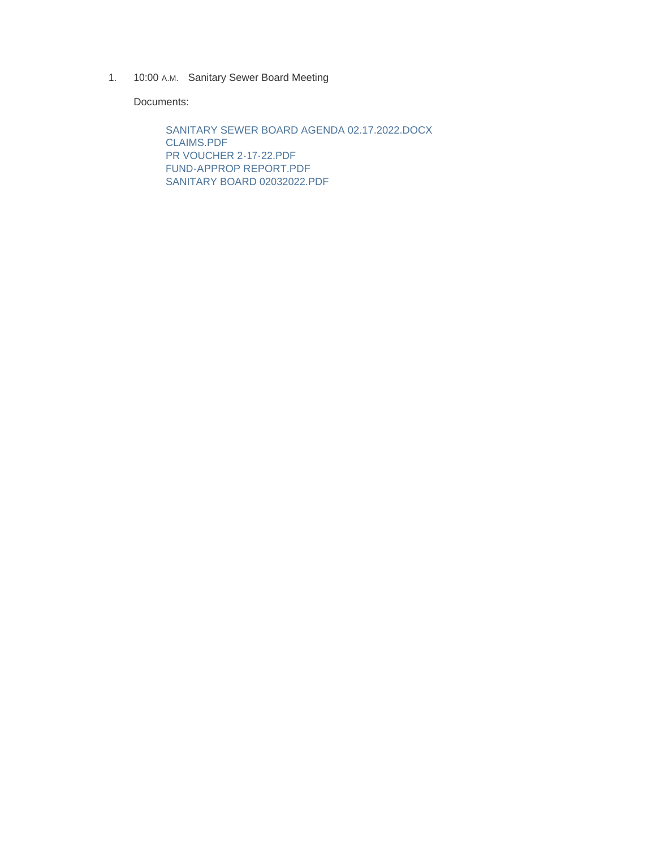1. 10:00 A.M. Sanitary Sewer Board Meeting

Documents:

SANITARY SEWER BOARD AGENDA 02.17.2022.DOCX CLAIMS.PDF PR VOUCHER 2-17-22.PDF FUND-APPROP REPORT.PDF SANITARY BOARD 02032022.PDF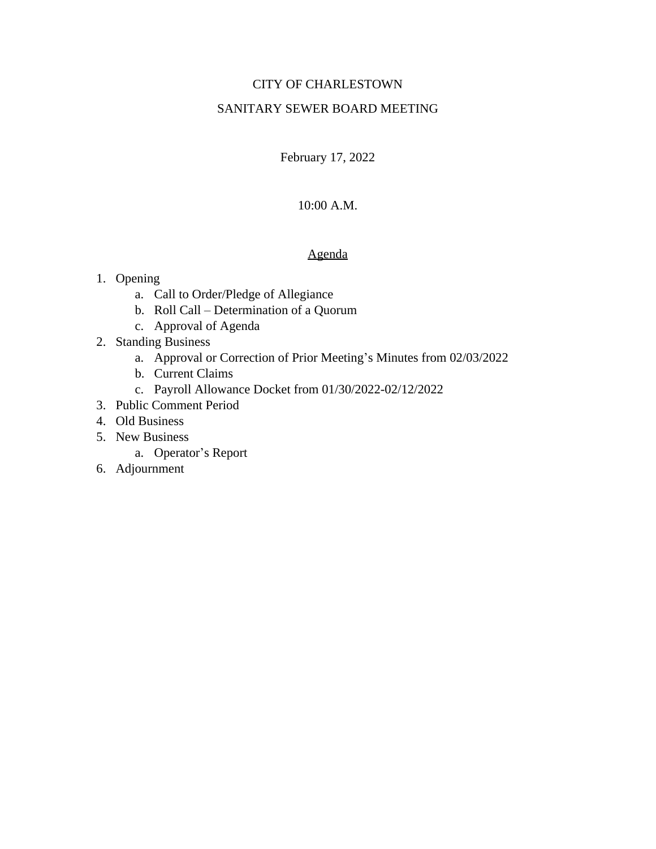### CITY OF CHARLESTOWN

### SANITARY SEWER BOARD MEETING

February 17, 2022

### 10:00 A.M.

### Agenda

### 1. Opening

- a. Call to Order/Pledge of Allegiance
- b. Roll Call Determination of a Quorum
- c. Approval of Agenda
- 2. Standing Business
	- a. Approval or Correction of Prior Meeting's Minutes from 02/03/2022
	- b. Current Claims
	- c. Payroll Allowance Docket from 01/30/2022-02/12/2022
- 3. Public Comment Period
- 4. Old Business
- 5. New Business
	- a. Operator's Report
- 6. Adjournment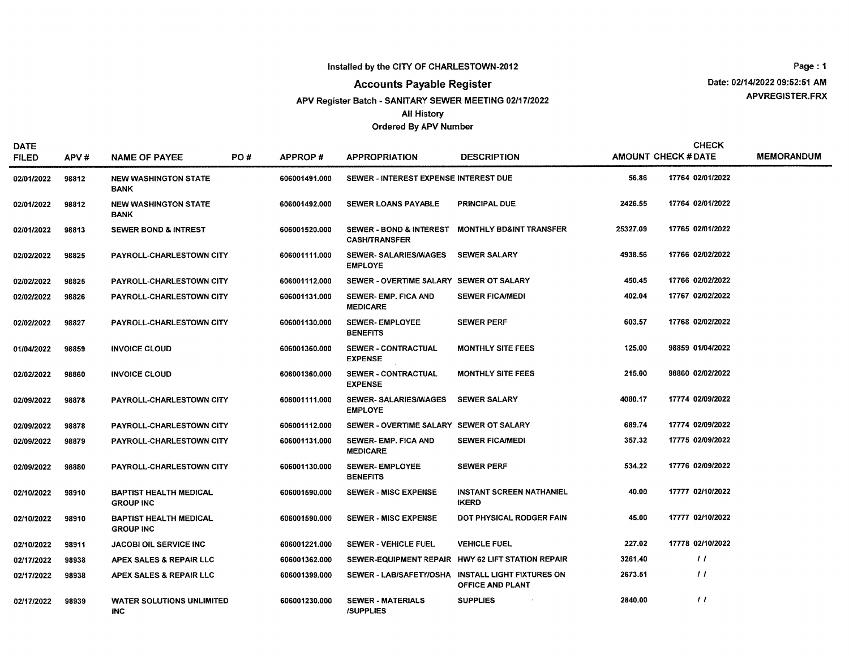#### Installed by the CITY OF CHARLESTOWN-2012

**Accounts Payable Register** 

#### APV Register Batch - SANITARY SEWER MEETING 02/17/2022

**All History** 

#### **Ordered By APV Number**

Page: 1 Date: 02/14/2022 09:52:51 AM APVREGISTER.FRX

| <b>DATE</b><br><b>FILED</b> | APV#  | <b>NAME OF PAYEE</b>                              | PO# | <b>APPROP#</b> | <b>APPROPRIATION</b>                           | <b>DESCRIPTION</b>                                                    |          | <b>CHECK</b><br><b>AMOUNT CHECK #DATE</b> | <b>MEMORANDUM</b> |
|-----------------------------|-------|---------------------------------------------------|-----|----------------|------------------------------------------------|-----------------------------------------------------------------------|----------|-------------------------------------------|-------------------|
| 02/01/2022                  | 98812 | <b>NEW WASHINGTON STATE</b><br><b>BANK</b>        |     | 606001491.000  | SEWER - INTEREST EXPENSE INTEREST DUE          |                                                                       | 56.86    | 17764 02/01/2022                          |                   |
| 02/01/2022                  | 98812 | <b>NEW WASHINGTON STATE</b><br><b>BANK</b>        |     | 606001492.000  | <b>SEWER LOANS PAYABLE</b>                     | <b>PRINCIPAL DUE</b>                                                  | 2426.55  | 17764 02/01/2022                          |                   |
| 02/01/2022                  | 98813 | <b>SEWER BOND &amp; INTREST</b>                   |     | 606001520.000  | <b>CASH/TRANSFER</b>                           | SEWER - BOND & INTEREST MONTHLY BD&INT TRANSFER                       | 25327.09 | 17765 02/01/2022                          |                   |
| 02/02/2022                  | 98825 | PAYROLL-CHARLESTOWN CITY                          |     | 606001111.000  | <b>SEWER- SALARIES/WAGES</b><br><b>EMPLOYE</b> | <b>SEWER SALARY</b>                                                   | 4938.56  | 17766 02/02/2022                          |                   |
| 02/02/2022                  | 98825 | PAYROLL-CHARLESTOWN CITY                          |     | 606001112,000  | SEWER - OVERTIME SALARY SEWER OT SALARY        |                                                                       | 450.45   | 17766 02/02/2022                          |                   |
| 02/02/2022                  | 98826 | <b>PAYROLL-CHARLESTOWN CITY</b>                   |     | 606001131.000  | <b>SEWER-EMP, FICA AND</b><br><b>MEDICARE</b>  | <b>SEWER FICA/MEDI</b>                                                | 402.04   | 17767 02/02/2022                          |                   |
| 02/02/2022                  | 98827 | PAYROLL-CHARLESTOWN CITY                          |     | 606001130.000  | <b>SEWER-EMPLOYEE</b><br><b>BENEFITS</b>       | <b>SEWER PERF</b>                                                     | 603.57   | 17768 02/02/2022                          |                   |
| 01/04/2022                  | 98859 | <b>INVOICE CLOUD</b>                              |     | 606001360.000  | <b>SEWER - CONTRACTUAL</b><br><b>EXPENSE</b>   | <b>MONTHLY SITE FEES</b>                                              | 125.00   | 98859 01/04/2022                          |                   |
| 02/02/2022                  | 98860 | <b>INVOICE CLOUD</b>                              |     | 606001360.000  | <b>SEWER - CONTRACTUAL</b><br><b>EXPENSE</b>   | <b>MONTHLY SITE FEES</b>                                              | 215.00   | 98860 02/02/2022                          |                   |
| 02/09/2022                  | 98878 | <b>PAYROLL-CHARLESTOWN CITY</b>                   |     | 606001111.000  | <b>SEWER-SALARIES/WAGES</b><br><b>EMPLOYE</b>  | <b>SEWER SALARY</b>                                                   | 4080.17  | 17774 02/09/2022                          |                   |
| 02/09/2022                  | 98878 | PAYROLL-CHARLESTOWN CITY                          |     | 606001112.000  | SEWER - OVERTIME SALARY SEWER OT SALARY        |                                                                       | 689.74   | 17774 02/09/2022                          |                   |
| 02/09/2022                  | 98879 | PAYROLL-CHARLESTOWN CITY                          |     | 606001131.000  | SEWER- EMP. FICA AND<br><b>MEDICARE</b>        | <b>SEWER FICA/MEDI</b>                                                | 357.32   | 17775 02/09/2022                          |                   |
| 02/09/2022                  | 98880 | PAYROLL-CHARLESTOWN CITY                          |     | 606001130.000  | <b>SEWER-EMPLOYEE</b><br><b>BENEFITS</b>       | <b>SEWER PERF</b>                                                     | 534.22   | 17776 02/09/2022                          |                   |
| 02/10/2022                  | 98910 | <b>BAPTIST HEALTH MEDICAL</b><br><b>GROUP INC</b> |     | 606001590.000  | <b>SEWER - MISC EXPENSE</b>                    | <b>INSTANT SCREEN NATHANIEL</b><br><b>IKERD</b>                       | 40.00    | 17777 02/10/2022                          |                   |
| 02/10/2022                  | 98910 | <b>BAPTIST HEALTH MEDICAL</b><br><b>GROUP INC</b> |     | 606001590.000  | <b>SEWER - MISC EXPENSE</b>                    | DOT PHYSICAL RODGER FAIN                                              | 45.00    | 17777 02/10/2022                          |                   |
| 02/10/2022                  | 98911 | <b>JACOBI OIL SERVICE INC</b>                     |     | 606001221.000  | <b>SEWER - VEHICLE FUEL</b>                    | <b>VEHICLE FUEL</b>                                                   | 227.02   | 17778 02/10/2022                          |                   |
| 02/17/2022                  | 98938 | APEX SALES & REPAIR LLC                           |     | 606001362.000  |                                                | SEWER-EQUIPMENT REPAIR HWY 62 LIFT STATION REPAIR                     | 3261.40  | $\prime\prime$                            |                   |
| 02/17/2022                  | 98938 | APEX SALES & REPAIR LLC                           |     | 606001399.000  |                                                | SEWER - LAB/SAFETY/OSHA INSTALL LIGHT FIXTURES ON<br>OFFICE AND PLANT | 2673.51  | $\prime\prime$                            |                   |
| 02/17/2022                  | 98939 | <b>WATER SOLUTIONS UNLIMITED</b><br><b>INC</b>    |     | 606001230.000  | <b>SEWER - MATERIALS</b><br><b>ISUPPLIES</b>   | <b>SUPPLIES</b>                                                       | 2840.00  | $\frac{1}{2}$                             |                   |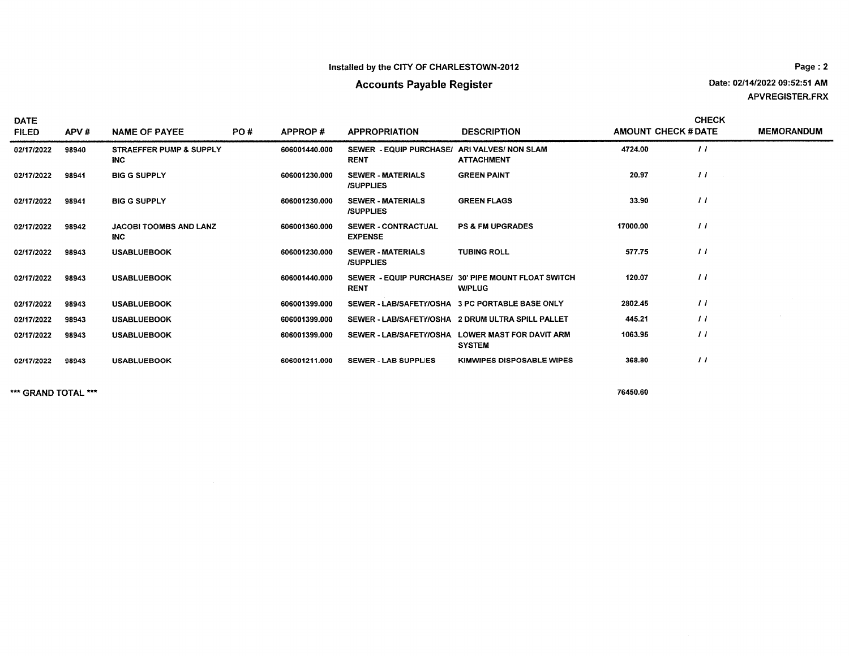### Installed by the CITY OF CHARLESTOWN-2012

### **Accounts Payable Register**

Page: 2 Date: 02/14/2022 09:52:51 AM APVREGISTER.FRX

| <b>DATE</b><br><b>FILED</b> | APV#  | <b>NAME OF PAYEE</b>                        | PO# | APPROP#       | <b>APPROPRIATION</b>                                        | <b>DESCRIPTION</b>                                                   | <b>AMOUNT CHECK # DATE</b> | <b>CHECK</b>   | <b>MEMORANDUM</b> |
|-----------------------------|-------|---------------------------------------------|-----|---------------|-------------------------------------------------------------|----------------------------------------------------------------------|----------------------------|----------------|-------------------|
| 02/17/2022                  | 98940 | STRAEFFER PUMP & SUPPLY<br><b>INC</b>       |     | 606001440.000 | SEWER - EQUIP PURCHASE/ ARI VALVES/ NON SLAM<br><b>RENT</b> | <b>ATTACHMENT</b>                                                    | 4724.00                    | $\frac{1}{2}$  |                   |
| 02/17/2022                  | 98941 | <b>BIG G SUPPLY</b>                         |     | 606001230.000 | <b>SEWER - MATERIALS</b><br><b>ISUPPLIES</b>                | <b>GREEN PAINT</b>                                                   | 20.97                      | $\prime\prime$ |                   |
| 02/17/2022                  | 98941 | <b>BIG G SUPPLY</b>                         |     | 606001230.000 | <b>SEWER - MATERIALS</b><br><b>/SUPPLIES</b>                | <b>GREEN FLAGS</b>                                                   | 33.90                      | $\prime\prime$ |                   |
| 02/17/2022                  | 98942 | <b>JACOBI TOOMBS AND LANZ</b><br><b>INC</b> |     | 606001360.000 | <b>SEWER - CONTRACTUAL</b><br><b>EXPENSE</b>                | <b>PS &amp; FM UPGRADES</b>                                          | 17000.00                   | $\prime$       |                   |
| 02/17/2022                  | 98943 | <b>USABLUEBOOK</b>                          |     | 606001230.000 | <b>SEWER - MATERIALS</b><br><b>/SUPPLIES</b>                | <b>TUBING ROLL</b>                                                   | 577.75                     | $\frac{1}{2}$  |                   |
| 02/17/2022                  | 98943 | <b>USABLUEBOOK</b>                          |     | 606001440.000 | <b>RENT</b>                                                 | SEWER - EQUIP PURCHASE/ 30' PIPE MOUNT FLOAT SWITCH<br><b>W/PLUG</b> | 120.07                     | $\prime$       |                   |
| 02/17/2022                  | 98943 | <b>USABLUEBOOK</b>                          |     | 606001399.000 | SEWER - LAB/SAFETY/OSHA 3 PC PORTABLE BASE ONLY             |                                                                      | 2802.45                    | $\prime\prime$ |                   |
| 02/17/2022                  | 98943 | <b>USABLUEBOOK</b>                          |     | 606001399.000 |                                                             | SEWER - LAB/SAFETY/OSHA 2 DRUM ULTRA SPILL PALLET                    | 445.21                     | $\prime\prime$ |                   |
| 02/17/2022                  | 98943 | <b>USABLUEBOOK</b>                          |     | 606001399.000 |                                                             | SEWER - LAB/SAFETY/OSHA LOWER MAST FOR DAVIT ARM<br><b>SYSTEM</b>    | 1063.95                    | $\prime\prime$ |                   |
| 02/17/2022                  | 98943 | <b>USABLUEBOOK</b>                          |     | 606001211.000 | <b>SEWER - LAB SUPPLIES</b>                                 | <b>KIMWIPES DISPOSABLE WIPES</b>                                     | 368.80                     | $^{\prime}$    |                   |

\*\*\* GRAND TOTAL \*\*\*

 $\sim 10^{-1}$ 

76450.60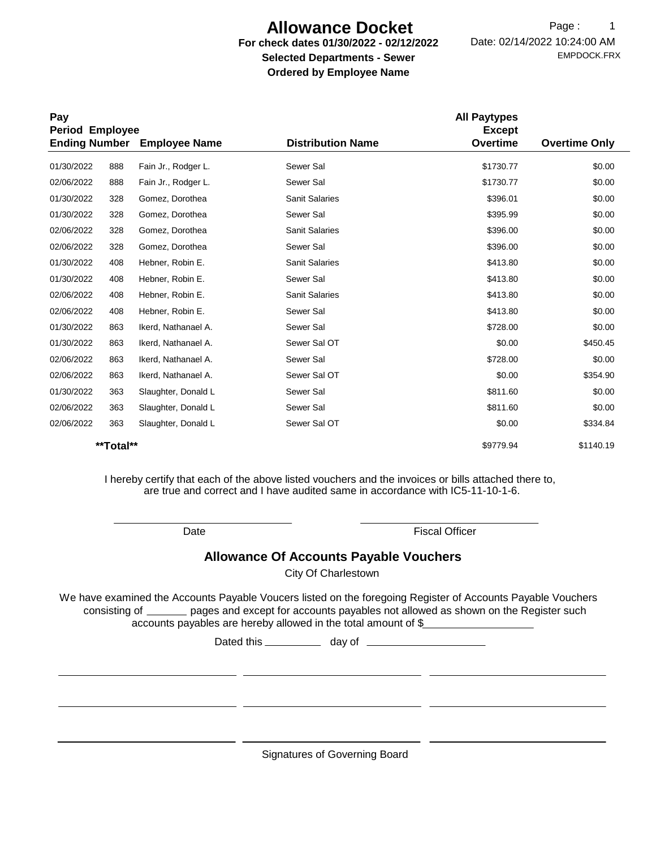# **Allowance Docket**

### **For check dates 01/30/2022 - 02/12/2022 Selected Departments - Sewer Ordered by Employee Name**

EMPDOCK.FRX Date: 02/14/2022 10:24:00 AM Page: 1

| Pay<br>Period Employee |           |                      |                          | <b>All Paytypes</b><br><b>Except</b> |                      |
|------------------------|-----------|----------------------|--------------------------|--------------------------------------|----------------------|
| <b>Ending Number</b>   |           | <b>Employee Name</b> | <b>Distribution Name</b> | <b>Overtime</b>                      | <b>Overtime Only</b> |
| 01/30/2022             | 888       | Fain Jr., Rodger L.  | Sewer Sal                | \$1730.77                            | \$0.00               |
| 02/06/2022             | 888       | Fain Jr., Rodger L.  | Sewer Sal                | \$1730.77                            | \$0.00               |
| 01/30/2022             | 328       | Gomez, Dorothea      | <b>Sanit Salaries</b>    | \$396.01                             | \$0.00               |
| 01/30/2022             | 328       | Gomez, Dorothea      | Sewer Sal                | \$395.99                             | \$0.00               |
| 02/06/2022             | 328       | Gomez, Dorothea      | <b>Sanit Salaries</b>    | \$396.00                             | \$0.00               |
| 02/06/2022             | 328       | Gomez, Dorothea      | Sewer Sal                | \$396.00                             | \$0.00               |
| 01/30/2022             | 408       | Hebner, Robin E.     | <b>Sanit Salaries</b>    | \$413.80                             | \$0.00               |
| 01/30/2022             | 408       | Hebner, Robin E.     | Sewer Sal                | \$413.80                             | \$0.00               |
| 02/06/2022             | 408       | Hebner, Robin E.     | <b>Sanit Salaries</b>    | \$413.80                             | \$0.00               |
| 02/06/2022             | 408       | Hebner, Robin E.     | Sewer Sal                | \$413.80                             | \$0.00               |
| 01/30/2022             | 863       | Ikerd, Nathanael A.  | Sewer Sal                | \$728.00                             | \$0.00               |
| 01/30/2022             | 863       | Ikerd, Nathanael A.  | Sewer Sal OT             | \$0.00                               | \$450.45             |
| 02/06/2022             | 863       | Ikerd, Nathanael A.  | Sewer Sal                | \$728.00                             | \$0.00               |
| 02/06/2022             | 863       | Ikerd, Nathanael A.  | Sewer Sal OT             | \$0.00                               | \$354.90             |
| 01/30/2022             | 363       | Slaughter, Donald L  | Sewer Sal                | \$811.60                             | \$0.00               |
| 02/06/2022             | 363       | Slaughter, Donald L  | Sewer Sal                | \$811.60                             | \$0.00               |
| 02/06/2022             | 363       | Slaughter, Donald L  | Sewer Sal OT             | \$0.00                               | \$334.84             |
|                        | **Total** |                      |                          | \$9779.94                            | \$1140.19            |

I hereby certify that each of the above listed vouchers and the invoices or bills attached there to, are true and correct and I have audited same in accordance with IC5-11-10-1-6.

Date **Fiscal Officer** 

### **Allowance Of Accounts Payable Vouchers**

City Of Charlestown

We have examined the Accounts Payable Voucers listed on the foregoing Register of Accounts Payable Vouchers accounts payables are hereby allowed in the total amount of \$ consisting of \_\_\_\_\_\_ pages and except for accounts payables not allowed as shown on the Register such

Dated this \_\_\_\_\_\_\_\_\_\_\_\_ day of \_\_\_\_\_

Signatures of Governing Board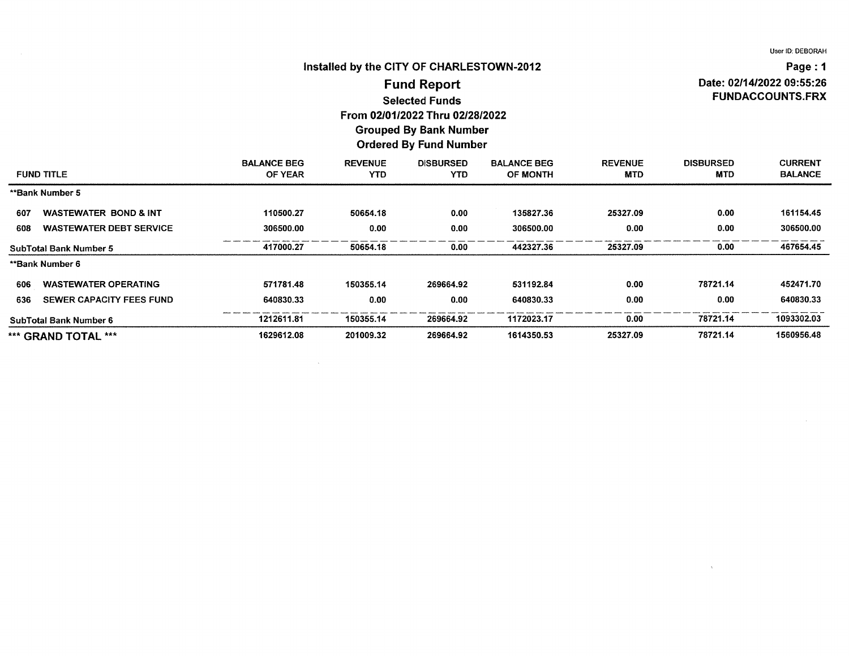### Installed by the CITY OF CHARLESTOWN-2012

Page: 1 Date: 02/14/2022 09:55:26 **FUNDACCOUNTS.FRX** 

### **Fund Report Selected Funds** From 02/01/2022 Thru 02/28/2022

### **Grouped By Bank Number Ordered By Fund Number**

| <b>FUND TITLE</b>             |                                  | <b>BALANCE BEG</b><br>OF YEAR | <b>REVENUE</b><br><b>YTD</b> | <b>DISBURSED</b><br>YTD. | <b>BALANCE BEG</b><br><b>OF MONTH</b> | <b>REVENUE</b><br><b>MTD</b> | <b>DISBURSED</b><br><b>MTD</b> | <b>CURRENT</b><br><b>BALANCE</b> |
|-------------------------------|----------------------------------|-------------------------------|------------------------------|--------------------------|---------------------------------------|------------------------------|--------------------------------|----------------------------------|
| **Bank Number 5               |                                  |                               |                              |                          |                                       |                              |                                |                                  |
| 607                           | <b>WASTEWATER BOND &amp; INT</b> | 110500.27                     | 50654.18                     | 0.00                     | 135827.36                             | 25327.09                     | 0.00                           | 161154.45                        |
| 608                           | <b>WASTEWATER DEBT SERVICE</b>   | 306500.00                     | 0.00                         | 0.00                     | 306500.00                             | 0.00                         | 0.00                           | 306500.00                        |
| <b>SubTotal Bank Number 5</b> |                                  | 417000.27                     | 50654.18                     | 0.00                     | 442327.36                             | 25327.09                     | 0.00                           | 467654.45                        |
| **Bank Number 6               |                                  |                               |                              |                          |                                       |                              |                                |                                  |
| 606                           | <b>WASTEWATER OPERATING</b>      | 571781.48                     | 150355.14                    | 269664.92                | 531192.84                             | 0.00                         | 78721.14                       | 452471.70                        |
| 636                           | SEWER CAPACITY FEES FUND         | 640830.33                     | 0.00                         | 0.00                     | 640830.33                             | 0.00                         | 0.00                           | 640830.33                        |
| SubTotal Bank Number 6        |                                  | 1212611.81                    | 150355.14                    | 269664.92                | 1172023.17                            | 0.00                         | 78721.14                       | 1093302.03                       |
| *** GRAND TOTAL ***           |                                  | 1629612.08                    | 201009.32                    | 269664.92                | 1614350.53                            | 25327.09                     | 78721.14                       | 1560956.48                       |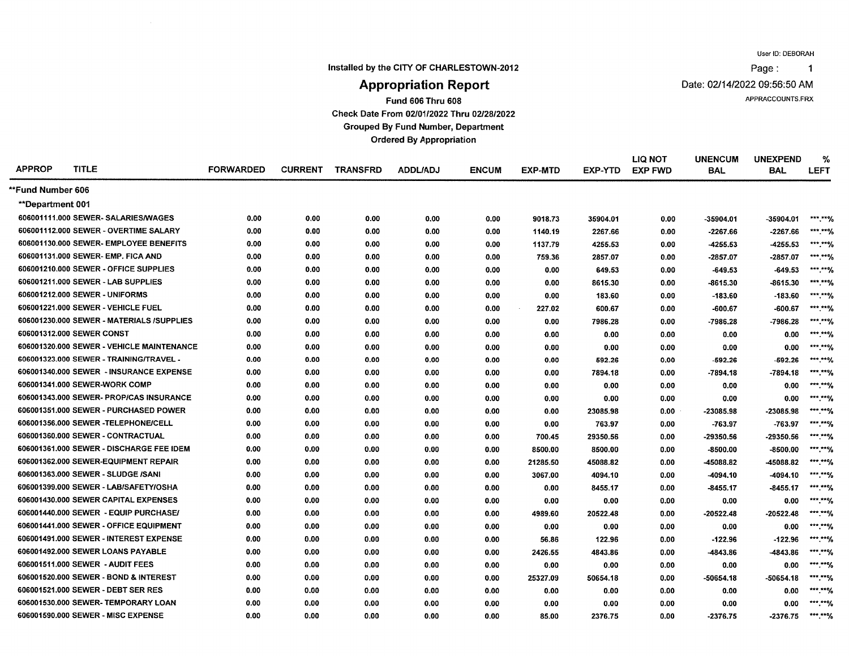Page:  $\blacktriangleleft$ 

Installed by the CITY OF CHARLESTOWN-2012

Date: 02/14/2022 09:56:50 AM

APPRACCOUNTS.FRX

# **Appropriation Report**

**Fund 606 Thru 608** 

Check Date From 02/01/2022 Thru 02/28/2022

**Grouped By Fund Number, Department** 

**Ordered By Appropriation** 

| <b>APPROP</b>     | <b>TITLE</b>                              | <b>FORWARDED</b> | <b>CURRENT</b> | <b>TRANSFRD</b> | <b>ADDL/ADJ</b> | <b>ENCUM</b> | <b>EXP-MTD</b> | EXP-YTD  | <b>LIQ NOT</b><br><b>EXP FWD</b> | <b>UNENCUM</b><br><b>BAL</b> | <b>UNEXPEND</b><br><b>BAL</b> | %<br><b>LEFT</b>        |
|-------------------|-------------------------------------------|------------------|----------------|-----------------|-----------------|--------------|----------------|----------|----------------------------------|------------------------------|-------------------------------|-------------------------|
| **Fund Number 606 |                                           |                  |                |                 |                 |              |                |          |                                  |                              |                               |                         |
| **Department 001  |                                           |                  |                |                 |                 |              |                |          |                                  |                              |                               |                         |
|                   | 606001111.000 SEWER- SALARIES/WAGES       | 0.00             | 0.00           | 0.00            | 0.00            | 0.00         | 9018.73        | 35904.01 | 0.00                             | -35904.01                    | -35904.01                     | $***$ $**$              |
|                   | 606001112.000 SEWER - OVERTIME SALARY     | 0.00             | 0.00           | 0.00            | 0.00            | 0.00         | 1140.19        | 2267.66  | 0.00                             | -2267.66                     | -2267.66                      | $*****$                 |
|                   | 606001130.000 SEWER- EMPLOYEE BENEFITS    | 0.00             | 0.00           | 0.00            | 0.00            | 0.00         | 1137.79        | 4255.53  | 0.00                             | -4255.53                     | -4255.53                      | $***$ ***)              |
|                   | 606001131,000 SEWER- EMP, FICA AND        | 0.00             | 0.00           | 0.00            | 0.00            | 0.00         | 759.36         | 2857.07  | 0.00                             | -2857.07                     | -2857.07                      | *** *** $\frac{1}{2}$   |
|                   | 606001210.000 SEWER - OFFICE SUPPLIES     | 0.00             | 0.00           | 0.00            | 0.00            | 0.00         | 0.00           | 649.53   | 0.00                             | $-649.53$                    | $-649.53$                     | $***$ $**$              |
|                   | 606001211.000 SEWER - LAB SUPPLIES        | 0.00             | 0.00           | 0.00            | 0.00            | 0.00         | 0.00           | 8615.30  | 0.00                             | -8615.30                     | -8615.30                      | $*****0/$               |
|                   | 606001212.000 SEWER - UNIFORMS            | 0.00             | 0.00           | 0.00            | 0.00            | 0.00         | 0.00           | 183.60   | 0.00                             | $-183.60$                    | $-183.60$                     | $***$ $**$              |
|                   | 606001221.000 SEWER - VEHICLE FUEL        | 0.00             | 0.00           | 0.00            | 0.00            | 0.00         | 227.02         | 600.67   | 0.00                             | $-600.67$                    | $-600.67$                     |                         |
|                   | 606001230.000 SEWER - MATERIALS /SUPPLIES | 0.00             | 0.00           | 0.00            | 0.00            | 0.00         | 0.00           | 7986.28  | 0.00                             | -7986.28                     | -7986.28                      | $*****0/$               |
|                   | 606001312.000 SEWER CONST                 | 0.00             | 0.00           | 0.00            | 0.00            | 0.00         | 0.00           | 0.00     | 0.00                             | 0.00                         | 0.00                          | $***$ *** $\frac{1}{2}$ |
|                   | 606001320.000 SEWER - VEHICLE MAINTENANCE | 0.00             | 0.00           | 0.00            | 0.00            | 0.00         | 0.00           | 0.00     | 0.00                             | 0.00                         | 0.00                          | ***.**%                 |
|                   | 606001323.000 SEWER - TRAINING/TRAVEL -   | 0.00             | 0.00           | 0.00            | 0.00            | 0.00         | 0.00           | 592.26   | 0.00                             | $-592.26$                    | $-592.26$                     | $*****%$                |
|                   | 606001340.000 SEWER - INSURANCE EXPENSE   | 0.00             | 0.00           | 0.00            | 0.00            | 0.00         | 0.00           | 7894.18  | 0.00                             | -7894.18                     | $-7894.18$                    | $***$ $**$ $%$          |
|                   | 606001341.000 SEWER-WORK COMP             | 0.00             | 0.00           | 0.00            | 0.00            | 0.00         | 0.00           | 0.00     | 0.00                             | 0.00                         | 0.00                          | $***$ *** /             |
|                   | 606001343.000 SEWER- PROP/CAS INSURANCE   | 0.00             | 0.00           | 0.00            | 0.00            | 0.00         | 0.00           | 0.00     | 0.00                             | 0.00                         | 0.00                          | *** *** /               |
|                   | 606001351.000 SEWER - PURCHASED POWER     | 0.00             | 0.00           | 0.00            | 0.00            | 0.00         | 0.00           | 23085.98 | 0.00                             | -23085.98                    | -23085.98                     | *** ***/                |
|                   | 606001356.000 SEWER -TELEPHONE/CELL       | 0.00             | 0.00           | 0.00            | 0.00            | 0.00         | 0.00           | 763.97   | 0.00                             | -763.97                      | $-763.97$                     | ***.**%                 |
|                   | 606001360.000 SEWER - CONTRACTUAL         | 0.00             | 0.00           | 0.00            | 0.00            | 0.00         | 700.45         | 29350.56 | 0.00                             | -29350.56                    | -29350.56                     | $***$ ** $\frac{9}{6}$  |
|                   | 606001361.000 SEWER - DISCHARGE FEE IDEM  | 0.00             | 0.00           | 0.00            | 0.00            | 0.00         | 8500.00        | 8500.00  | 0.00                             | -8500.00                     | $-8500.00$                    | $***$ == 0/             |
|                   | 606001362.000 SEWER-EQUIPMENT REPAIR      | 0.00             | 0.00           | 0.00            | 0.00            | 0.00         | 21285.50       | 45088.82 | 0.00                             | -45088.82                    | -45088.82                     | $*****0/$               |
|                   | 606001363.000 SEWER - SLUDGE /SANI        | 0.00             | 0.00           | 0.00            | 0.00            | 0.00         | 3067.00        | 4094.10  | 0.00                             | -4094.10                     | -4094.10                      | $*****$                 |
|                   | 606001399.000 SEWER - LAB/SAFETY/OSHA     | 0.00             | 0.00           | 0.00            | 0.00            | 0.00         | 0.00           | 8455.17  | 0.00                             | -8455.17                     | $-8455.17$                    | $***$ $**$              |
|                   | 606001430.000 SEWER CAPITAL EXPENSES      | 0.00             | 0.00           | 0.00            | 0.00            | 0.00         | 0.00           | 0.00     | 0.00                             | 0.00                         | 0.00                          | ***.****/               |
|                   | 606001440.000 SEWER - EQUIP PURCHASE/     | 0.00             | 0.00           | 0.00            | 0.00            | 0.00         | 4989.60        | 20522.48 | 0.00                             | $-20522.48$                  | $-20522.48$                   | $*****9$                |
|                   | 606001441.000 SEWER - OFFICE EQUIPMENT    | 0.00             | 0.00           | 0.00            | 0.00            | 0.00         | 0.00           | 0.00     | 0.00                             | 0.00                         | 0.00                          | $*****$                 |
|                   | 606001491.000 SEWER - INTEREST EXPENSE    | 0.00             | 0.00           | 0.00            | 0.00            | 0.00         | 56.86          | 122.96   | 0.00                             | $-122.96$                    | $-122.96$                     | $*****0/$               |
|                   | 606001492.000 SEWER LOANS PAYABLE         | 0.00             | 0.00           | 0.00            | 0.00            | 0.00         | 2426.55        | 4843.86  | 0.00                             | -4843.86                     | -4843.86                      | $***$ **9/              |
|                   | 606001511,000 SEWER - AUDIT FEES          | 0.00             | 0.00           | 0.00            | 0.00            | 0.00         | 0.00           | 0.00     | 0.00                             | 0.00                         | 0.00                          | $***$ $**$              |
|                   | 606001520.000 SEWER - BOND & INTEREST     | 0.00             | 0.00           | 0.00            | 0.00            | 0.00         | 25327.09       | 50654.18 | 0.00                             | $-50654.18$                  | $-50654.18$                   | $***$ ** $\frac{1}{2}$  |
|                   | 606001521.000 SEWER - DEBT SER RES        | 0.00             | 0.00           | 0.00            | 0.00            | 0.00         | 0.00           | 0.00     | 0.00                             | 0.00                         | 0.00                          | ***.**%                 |
|                   | 606001530.000 SEWER-TEMPORARY LOAN        | 0.00             | 0.00           | 0.00            | 0.00            | 0.00         | 0.00           | 0.00     | 0.00                             | 0.00                         | 0.00                          | *** *** 9/              |
|                   | 606001590.000 SEWER - MISC EXPENSE        | 0.00             | 0.00           | 0.00            | 0.00            | 0.00         | 85.00          | 2376.75  | 0.00                             | $-2376.75$                   | -2376.75                      | ***.**%                 |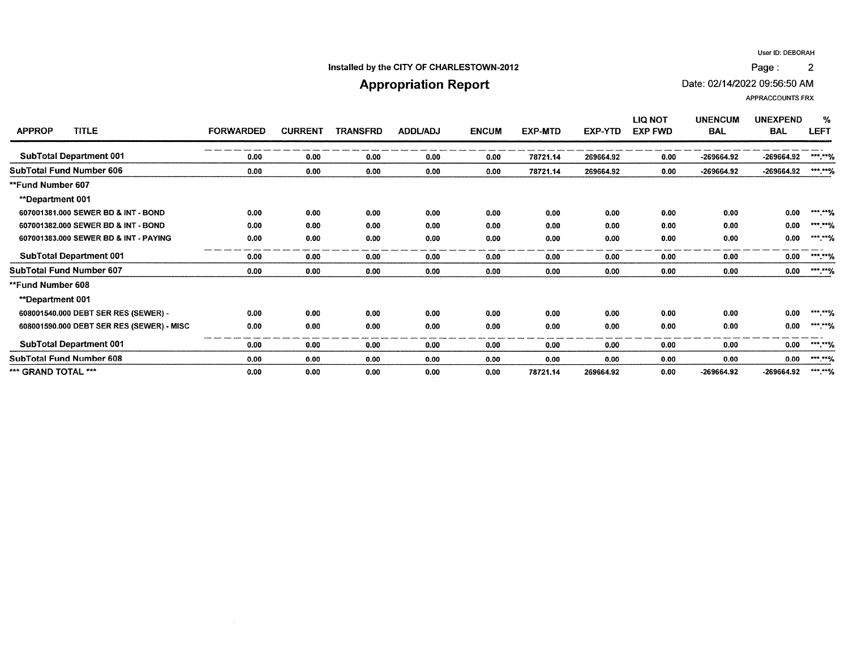$\overline{2}$ 

### Installed by the CITY OF CHARLESTOWN-2012

# **Appropriation Report**

Date: 02/14/2022 09:56:50 AM

APPRACCOUNTS.FRX

Page:

| <b>TITLE</b><br><b>APPROP</b>             | <b>FORWARDED</b> | <b>CURRENT</b> | <b>TRANSFRD</b> | <b>ADDL/ADJ</b> | <b>ENCUM</b> | <b>EXP-MTD</b> | EXP-YTD   | <b>LIQ NOT</b><br><b>EXP FWD</b> | <b>UNENCUM</b><br><b>BAL</b> | <b>UNEXPEND</b><br><b>BAL</b> | %<br><b>LEFT</b>    |
|-------------------------------------------|------------------|----------------|-----------------|-----------------|--------------|----------------|-----------|----------------------------------|------------------------------|-------------------------------|---------------------|
| <b>SubTotal Department 001</b>            | 0.00             | 0.00           | 0.00            | 0.00            | 0.00         | 78721.14       | 269664.92 | 0.00                             | -269664.92                   | -269664.92                    | ***.**%             |
| <b>SubTotal Fund Number 606</b>           | 0.00             | 0.00           | 0.00            | 0.00            | 0.00         | 78721.14       | 269664.92 | 0.00                             | $-269664.92$                 | -269664.92                    | $*****96$           |
| **Fund Number 607                         |                  |                |                 |                 |              |                |           |                                  |                              |                               |                     |
| <b>**Department 001</b>                   |                  |                |                 |                 |              |                |           |                                  |                              |                               |                     |
| 607001381,000 SEWER BD & INT - BOND       | 0.00             | 0.00           | 0.00            | 0.00            | 0.00         | 0.00           | 0.00      | 0.00                             | 0.00                         | 0.00                          | ***.**%             |
| 607001382.000 SEWER BD & INT - BOND       | 0.00             | 0.00           | 0.00            | 0.00            | 0.00         | 0.00           | 0.00      | 0.00                             | 0.00                         | 0.00                          | $***$ **%           |
| 607001383.000 SEWER BD & INT - PAYING     | 0.00             | 0.00           | 0.00            | 0.00            | 0.00         | 0.00           | 0.00      | 0.00                             | 0.00                         | 0.00                          | ***.**%             |
| <b>SubTotal Department 001</b>            | 0.00             | 0.00           | 0.00            | 0.00            | 0.00         | 0.00           | 0.00      | 0.00                             | 0.00                         | 0.00                          | ***.**%             |
| SubTotal Fund Number 607                  | 0.00             | 0.00           | 0.00            | 0.00            | 0.00         | 0.00           | 0.00      | 0.00                             | 0.00                         | 0.00                          | $***$ $*$ $*/$      |
| <b>**Fund Number 608</b>                  |                  |                |                 |                 |              |                |           |                                  |                              |                               |                     |
| <b>**Department 001</b>                   |                  |                |                 |                 |              |                |           |                                  |                              |                               |                     |
| 608001540.000 DEBT SER RES (SEWER) -      | 0.00             | 0.00           | 0.00            | 0.00            | 0.00         | 0.00           | 0.00      | 0.00                             | 0.00                         | 0.00                          | ***.**%             |
| 608001590.000 DEBT SER RES (SEWER) - MISC | 0.00             | 0.00           | 0.00            | 0.00            | 0.00         | 0.00           | 0.00      | 0.00                             | 0.00                         | 0.00                          | $***$ $\frac{1}{2}$ |
| <b>SubTotal Department 001</b>            | 0.00             | 0.00           | 0.00            | 0.00            | 0.00         | 0.00           | 0.00      | 0.00                             | 0.00                         | 0.00                          | ***.**%             |
| <b>SubTotal Fund Number 608</b>           | 0.00             | 0.00           | 0.00            | 0.00            | 0.00         | 0.00           | 0.00      | 0.00                             | 0.00                         | 0.00                          | $***,***$           |
| *** GRAND TOTAL ***                       | 0.00             | 0.00           | 0.00            | 0.00            | 0.00         | 78721.14       | 269664.92 | 0.00                             | -269664.92                   | -269664.92                    | ***.**%             |

 $\sim$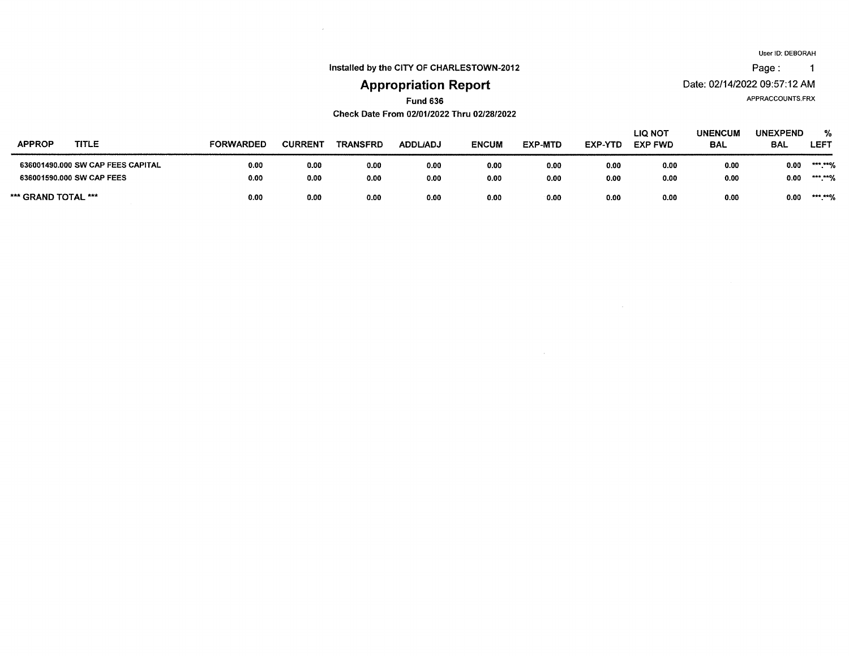Page: 1

Installed by the CITY OF CHARLESTOWN-2012

 $\epsilon$ 

# **Appropriation Report**

APPRACCOUNTS.FRX

Date: 02/14/2022 09:57:12 AM

# **Fund 636**

Check Date From 02/01/2022 Thru 02/28/2022

| <b>APPROP</b><br>TITLE            | FORWARDED | <b>CURREN</b> | <b>TRANSFRD</b> | ADDL/ADJ | <b>ENCUM</b> | <b>EXP-MTD</b> | <b>EXP-YTD</b> | LIQ NOT<br><b>EXP FWD</b> | <b>UNENCUM</b><br><b>BAL</b> | <b>UNEXPEND</b><br><b>BAL</b> | %<br><b>LEFT</b>  |
|-----------------------------------|-----------|---------------|-----------------|----------|--------------|----------------|----------------|---------------------------|------------------------------|-------------------------------|-------------------|
| 636001490.000 SW CAP FEES CAPITAL | 0.00      | 0.00          | 0.00            | 0.00     | 0.00         | 0.00           | 0.00           | 0.00                      | 0.00                         | 0.00                          | *** *** /<br>- 70 |
| 636001590,000 SW CAP FEES         | 0.00      | 0.00          | 0.00            | 0.00     | 0.00         | 0.00           | 0.00           | 0.00                      | 0.00                         | 0.00                          | *** ***/<br>. .   |
| *** GRAND TOTAL ***               | 0.00      | 0.00          | 0.00            | 0.00     | 0.00         | 0.00           | 0.00           | 0.00                      | 0.00                         | 0.00                          | *** ****<br>. 10  |

 $\sim$   $\sim$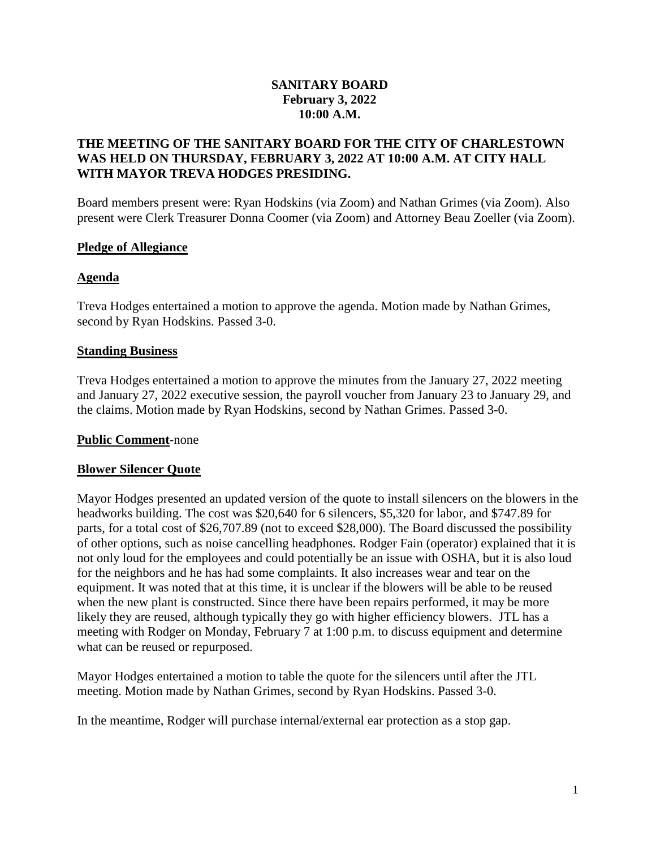### **SANITARY BOARD February 3, 2022 10:00 A.M.**

### **THE MEETING OF THE SANITARY BOARD FOR THE CITY OF CHARLESTOWN WAS HELD ON THURSDAY, FEBRUARY 3, 2022 AT 10:00 A.M. AT CITY HALL WITH MAYOR TREVA HODGES PRESIDING.**

Board members present were: Ryan Hodskins (via Zoom) and Nathan Grimes (via Zoom). Also present were Clerk Treasurer Donna Coomer (via Zoom) and Attorney Beau Zoeller (via Zoom).

### **Pledge of Allegiance**

### **Agenda**

Treva Hodges entertained a motion to approve the agenda. Motion made by Nathan Grimes, second by Ryan Hodskins. Passed 3-0.

### **Standing Business**

Treva Hodges entertained a motion to approve the minutes from the January 27, 2022 meeting and January 27, 2022 executive session, the payroll voucher from January 23 to January 29, and the claims. Motion made by Ryan Hodskins, second by Nathan Grimes. Passed 3-0.

### **Public Comment**-none

### **Blower Silencer Quote**

Mayor Hodges presented an updated version of the quote to install silencers on the blowers in the headworks building. The cost was \$20,640 for 6 silencers, \$5,320 for labor, and \$747.89 for parts, for a total cost of \$26,707.89 (not to exceed \$28,000). The Board discussed the possibility of other options, such as noise cancelling headphones. Rodger Fain (operator) explained that it is not only loud for the employees and could potentially be an issue with OSHA, but it is also loud for the neighbors and he has had some complaints. It also increases wear and tear on the equipment. It was noted that at this time, it is unclear if the blowers will be able to be reused when the new plant is constructed. Since there have been repairs performed, it may be more likely they are reused, although typically they go with higher efficiency blowers. JTL has a meeting with Rodger on Monday, February 7 at 1:00 p.m. to discuss equipment and determine what can be reused or repurposed.

Mayor Hodges entertained a motion to table the quote for the silencers until after the JTL meeting. Motion made by Nathan Grimes, second by Ryan Hodskins. Passed 3-0.

In the meantime, Rodger will purchase internal/external ear protection as a stop gap.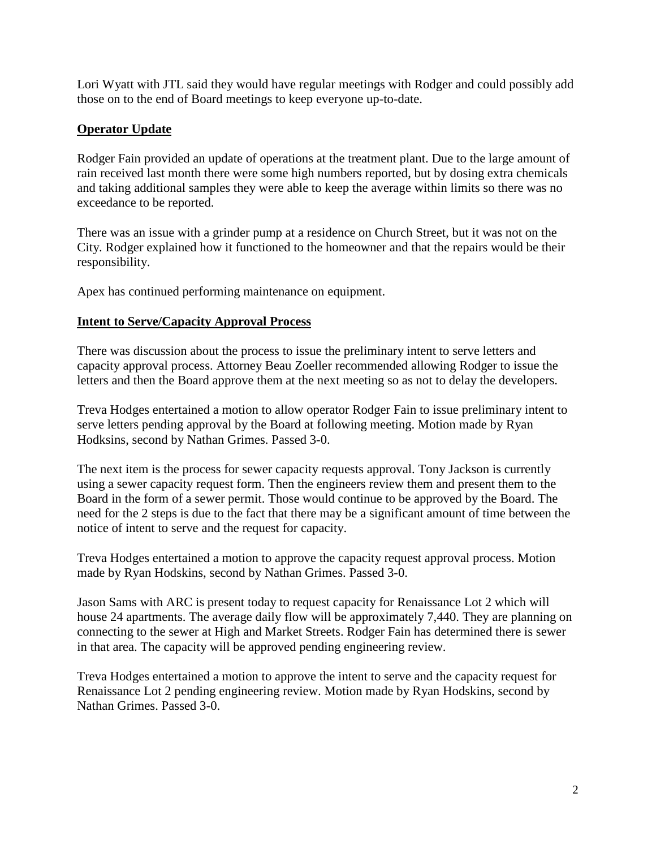Lori Wyatt with JTL said they would have regular meetings with Rodger and could possibly add those on to the end of Board meetings to keep everyone up-to-date.

# **Operator Update**

Rodger Fain provided an update of operations at the treatment plant. Due to the large amount of rain received last month there were some high numbers reported, but by dosing extra chemicals and taking additional samples they were able to keep the average within limits so there was no exceedance to be reported.

There was an issue with a grinder pump at a residence on Church Street, but it was not on the City. Rodger explained how it functioned to the homeowner and that the repairs would be their responsibility.

Apex has continued performing maintenance on equipment.

### **Intent to Serve/Capacity Approval Process**

There was discussion about the process to issue the preliminary intent to serve letters and capacity approval process. Attorney Beau Zoeller recommended allowing Rodger to issue the letters and then the Board approve them at the next meeting so as not to delay the developers.

Treva Hodges entertained a motion to allow operator Rodger Fain to issue preliminary intent to serve letters pending approval by the Board at following meeting. Motion made by Ryan Hodksins, second by Nathan Grimes. Passed 3-0.

The next item is the process for sewer capacity requests approval. Tony Jackson is currently using a sewer capacity request form. Then the engineers review them and present them to the Board in the form of a sewer permit. Those would continue to be approved by the Board. The need for the 2 steps is due to the fact that there may be a significant amount of time between the notice of intent to serve and the request for capacity.

Treva Hodges entertained a motion to approve the capacity request approval process. Motion made by Ryan Hodskins, second by Nathan Grimes. Passed 3-0.

Jason Sams with ARC is present today to request capacity for Renaissance Lot 2 which will house 24 apartments. The average daily flow will be approximately 7,440. They are planning on connecting to the sewer at High and Market Streets. Rodger Fain has determined there is sewer in that area. The capacity will be approved pending engineering review.

Treva Hodges entertained a motion to approve the intent to serve and the capacity request for Renaissance Lot 2 pending engineering review. Motion made by Ryan Hodskins, second by Nathan Grimes. Passed 3-0.